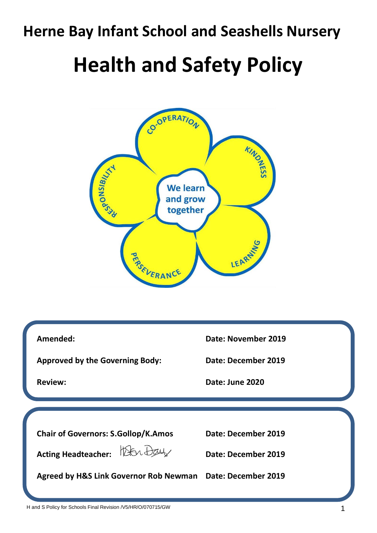## **Herne Bay Infant School and Seashells Nursery**

## **Health and Safety Policy**



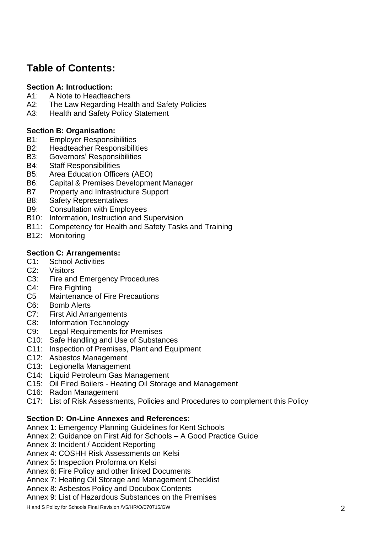## **Table of Contents:**

#### **Section A: Introduction:**

- A1: A Note to Headteachers
- A2: The Law Regarding Health and Safety Policies
- A3: Health and Safety Policy Statement

#### **Section B: Organisation:**

- B1: Employer Responsibilities
- B2: Headteacher Responsibilities
- B3: Governors' Responsibilities
- B4: Staff Responsibilities
- B5: Area Education Officers (AEO)
- B6: Capital & Premises Development Manager
- B7 Property and Infrastructure Support
- B8: Safety Representatives
- B9: Consultation with Employees
- B10: Information, Instruction and Supervision
- B11: Competency for Health and Safety Tasks and Training
- B12: Monitoring

#### **Section C: Arrangements:**

- C1: School Activities
- C2: Visitors
- C3: Fire and Emergency Procedures
- C4: Fire Fighting
- C5 Maintenance of Fire Precautions
- C6: Bomb Alerts
- C7: First Aid Arrangements
- C8: Information Technology
- C9: Legal Requirements for Premises
- C10: Safe Handling and Use of Substances
- C11: Inspection of Premises, Plant and Equipment
- C12: Asbestos Management
- C13: Legionella Management
- C14: Liquid Petroleum Gas Management
- C15: Oil Fired Boilers Heating Oil Storage and Management
- C16: Radon Management
- C17: List of Risk Assessments, Policies and Procedures to complement this Policy

#### **Section D: On-Line Annexes and References:**

- Annex 1: Emergency Planning Guidelines for Kent Schools
- Annex 2: Guidance on First Aid for Schools A Good Practice Guide
- Annex 3: Incident / Accident Reporting
- Annex 4: COSHH Risk Assessments on Kelsi
- Annex 5: Inspection Proforma on Kelsi
- Annex 6: Fire Policy and other linked Documents
- Annex 7: Heating Oil Storage and Management Checklist
- Annex 8: Asbestos Policy and Docubox Contents
- Annex 9: List of Hazardous Substances on the Premises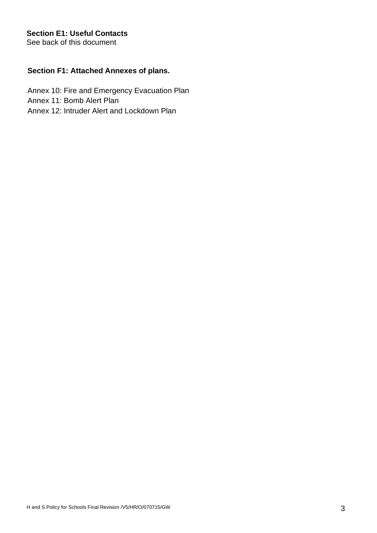#### **Section E1: Useful Contacts**

See back of this document

#### **Section F1: Attached Annexes of plans.**

 Annex 10: Fire and Emergency Evacuation Plan Annex 11: Bomb Alert Plan Annex 12: Intruder Alert and Lockdown Plan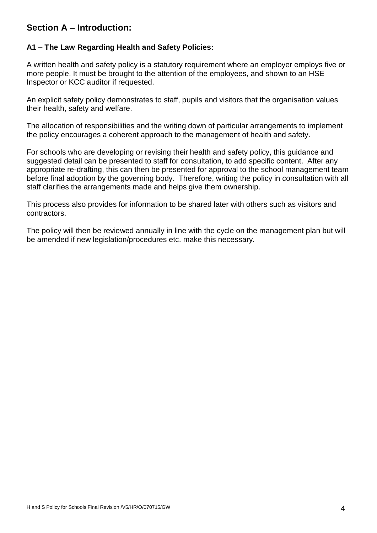### **Section A – Introduction:**

#### **A1 – The Law Regarding Health and Safety Policies:**

A written health and safety policy is a statutory requirement where an employer employs five or more people. It must be brought to the attention of the employees, and shown to an HSE Inspector or KCC auditor if requested.

An explicit safety policy demonstrates to staff, pupils and visitors that the organisation values their health, safety and welfare.

The allocation of responsibilities and the writing down of particular arrangements to implement the policy encourages a coherent approach to the management of health and safety.

For schools who are developing or revising their health and safety policy, this guidance and suggested detail can be presented to staff for consultation, to add specific content. After any appropriate re-drafting, this can then be presented for approval to the school management team before final adoption by the governing body. Therefore, writing the policy in consultation with all staff clarifies the arrangements made and helps give them ownership.

This process also provides for information to be shared later with others such as visitors and contractors.

The policy will then be reviewed annually in line with the cycle on the management plan but will be amended if new legislation/procedures etc. make this necessary.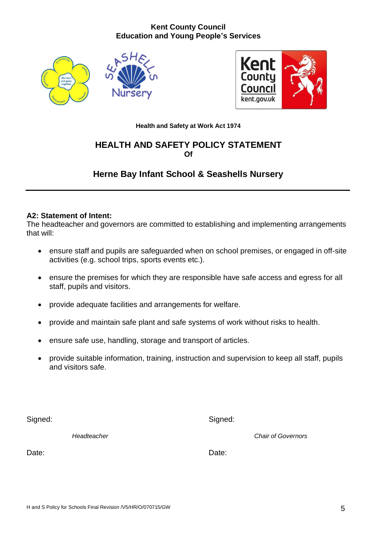#### **Kent County Council Education and Young People's Services**





**Health and Safety at Work Act 1974**

### **HEALTH AND SAFETY POLICY STATEMENT Of**

## **Herne Bay Infant School & Seashells Nursery**

#### **A2: Statement of Intent:**

The headteacher and governors are committed to establishing and implementing arrangements that will:

- ensure staff and pupils are safeguarded when on school premises, or engaged in off-site activities (e.g. school trips, sports events etc.).
- ensure the premises for which they are responsible have safe access and egress for all staff, pupils and visitors.
- provide adequate facilities and arrangements for welfare.
- provide and maintain safe plant and safe systems of work without risks to health.
- ensure safe use, handling, storage and transport of articles.
- provide suitable information, training, instruction and supervision to keep all staff, pupils and visitors safe.

Signed: Signed: Signed: Signed: Signed: Signed: Signed: Signed: Signed: Signed: Signed: Signed: Signed: Signed: Signed: Signed: Signed: Signed: Signed: Signed: Signed: Signed: Signed: Signed: Signed: Signed: Signed: Signed

*Headteacher Chair of Governors*

Date: **Date: Date: Date: Date: Date: Date: Date: Date: Date: Date: Date: Date: Date: Date: Date: Date: Date: Date: Date: Date: Date: Date: Date: Date: Date: Date: Date:**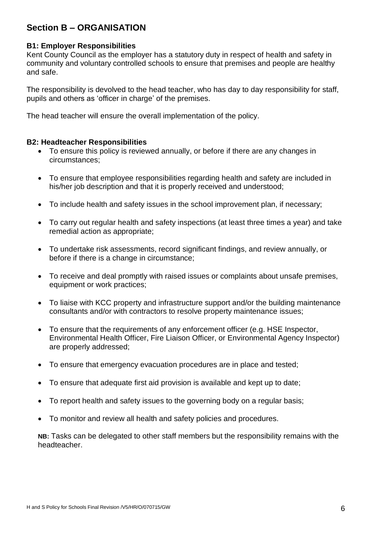### **Section B – ORGANISATION**

#### **B1: Employer Responsibilities**

Kent County Council as the employer has a statutory duty in respect of health and safety in community and voluntary controlled schools to ensure that premises and people are healthy and safe.

The responsibility is devolved to the head teacher, who has day to day responsibility for staff, pupils and others as 'officer in charge' of the premises.

The head teacher will ensure the overall implementation of the policy.

#### **B2: Headteacher Responsibilities**

- To ensure this policy is reviewed annually, or before if there are any changes in circumstances;
- To ensure that employee responsibilities regarding health and safety are included in his/her job description and that it is properly received and understood;
- To include health and safety issues in the school improvement plan, if necessary;
- To carry out regular health and safety inspections (at least three times a year) and take remedial action as appropriate;
- To undertake risk assessments, record significant findings, and review annually, or before if there is a change in circumstance;
- To receive and deal promptly with raised issues or complaints about unsafe premises, equipment or work practices;
- To liaise with KCC property and infrastructure support and/or the building maintenance consultants and/or with contractors to resolve property maintenance issues;
- To ensure that the requirements of any enforcement officer (e.g. HSE Inspector, Environmental Health Officer, Fire Liaison Officer, or Environmental Agency Inspector) are properly addressed;
- To ensure that emergency evacuation procedures are in place and tested;
- To ensure that adequate first aid provision is available and kept up to date;
- To report health and safety issues to the governing body on a regular basis;
- To monitor and review all health and safety policies and procedures.

**NB:** Tasks can be delegated to other staff members but the responsibility remains with the headteacher.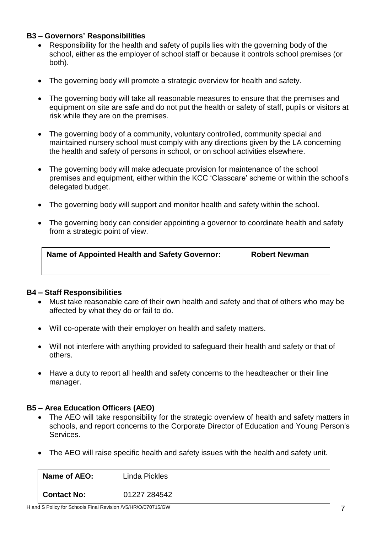#### **B3 – Governors' Responsibilities**

- Responsibility for the health and safety of pupils lies with the governing body of the school, either as the employer of school staff or because it controls school premises (or both).
- The governing body will promote a strategic overview for health and safety.
- The governing body will take all reasonable measures to ensure that the premises and equipment on site are safe and do not put the health or safety of staff, pupils or visitors at risk while they are on the premises.
- The governing body of a community, voluntary controlled, community special and maintained nursery school must comply with any directions given by the LA concerning the health and safety of persons in school, or on school activities elsewhere.
- The governing body will make adequate provision for maintenance of the school premises and equipment, either within the KCC 'Classcare' scheme or within the school's delegated budget.
- The governing body will support and monitor health and safety within the school.
- The governing body can consider appointing a governor to coordinate health and safety from a strategic point of view.

| Name of Appointed Health and Safety Governor: | <b>Robert Newman</b> |
|-----------------------------------------------|----------------------|
|                                               |                      |

#### **B4 – Staff Responsibilities**

- Must take reasonable care of their own health and safety and that of others who may be affected by what they do or fail to do.
- Will co-operate with their employer on health and safety matters.
- Will not interfere with anything provided to safeguard their health and safety or that of others.
- Have a duty to report all health and safety concerns to the headteacher or their line manager.

#### **B5 – Area Education Officers (AEO)**

- The AEO will take responsibility for the strategic overview of health and safety matters in schools, and report concerns to the Corporate Director of Education and Young Person's Services.
- The AEO will raise specific health and safety issues with the health and safety unit.

| Name of AEO: | Linda Pickles |
|--------------|---------------|
| Contact No:  | 01227 284542  |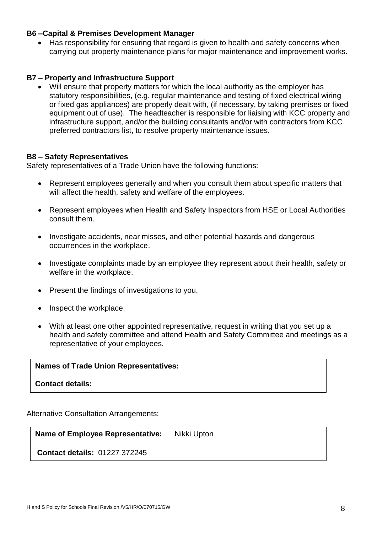#### **B6 –Capital & Premises Development Manager**

• Has responsibility for ensuring that regard is given to health and safety concerns when carrying out property maintenance plans for major maintenance and improvement works.

#### **B7 – Property and Infrastructure Support**

• Will ensure that property matters for which the local authority as the employer has statutory responsibilities, (e.g. regular maintenance and testing of fixed electrical wiring or fixed gas appliances) are properly dealt with, (if necessary, by taking premises or fixed equipment out of use). The headteacher is responsible for liaising with KCC property and infrastructure support, and/or the building consultants and/or with contractors from KCC preferred contractors list, to resolve property maintenance issues.

#### **B8 – Safety Representatives**

Safety representatives of a Trade Union have the following functions:

- Represent employees generally and when you consult them about specific matters that will affect the health, safety and welfare of the employees.
- Represent employees when Health and Safety Inspectors from HSE or Local Authorities consult them.
- Investigate accidents, near misses, and other potential hazards and dangerous occurrences in the workplace.
- Investigate complaints made by an employee they represent about their health, safety or welfare in the workplace.
- Present the findings of investigations to you.
- Inspect the workplace;
- With at least one other appointed representative, request in writing that you set up a health and safety committee and attend Health and Safety Committee and meetings as a representative of your employees.

#### **Names of Trade Union Representatives:**

**Contact details:**

Alternative Consultation Arrangements:

**Name of Employee Representative:** Nikki Upton

**Contact details:** 01227 372245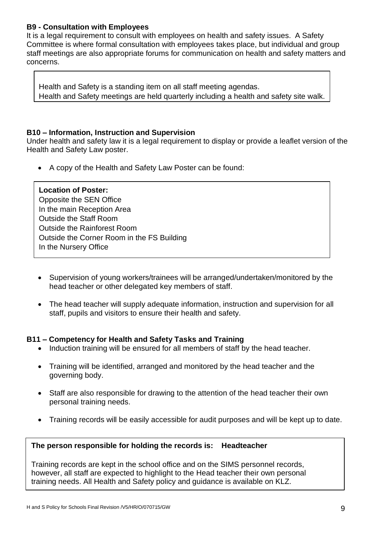#### **B9 - Consultation with Employees**

It is a legal requirement to consult with employees on health and safety issues. A Safety Committee is where formal consultation with employees takes place, but individual and group staff meetings are also appropriate forums for communication on health and safety matters and concerns.

Health and Safety is a standing item on all staff meeting agendas. Health and Safety meetings are held quarterly including a health and safety site walk.

#### **B10 – Information, Instruction and Supervision**

Under health and safety law it is a legal requirement to display or provide a leaflet version of the Health and Safety Law poster.

• A copy of the Health and Safety Law Poster can be found:

#### **Location of Poster:**

Opposite the SEN Office In the main Reception Area Outside the Staff Room Outside the Rainforest Room Outside the Corner Room in the FS Building In the Nursery Office

- Supervision of young workers/trainees will be arranged/undertaken/monitored by the head teacher or other delegated key members of staff.
- The head teacher will supply adequate information, instruction and supervision for all staff, pupils and visitors to ensure their health and safety.

#### **B11 – Competency for Health and Safety Tasks and Training**

- Induction training will be ensured for all members of staff by the head teacher.
- Training will be identified, arranged and monitored by the head teacher and the governing body.
- Staff are also responsible for drawing to the attention of the head teacher their own personal training needs.
- Training records will be easily accessible for audit purposes and will be kept up to date.

#### **The person responsible for holding the records is: Headteacher**

Training records are kept in the school office and on the SIMS personnel records, however, all staff are expected to highlight to the Head teacher their own personal training needs. All Health and Safety policy and guidance is available on KLZ.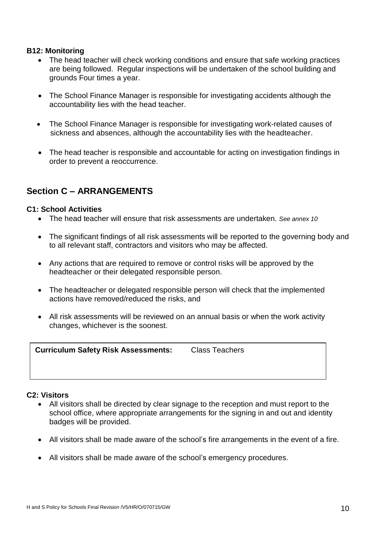#### **B12: Monitoring**

- The head teacher will check working conditions and ensure that safe working practices are being followed. Regular inspections will be undertaken of the school building and grounds Four times a year.
- The School Finance Manager is responsible for investigating accidents although the accountability lies with the head teacher.
- The School Finance Manager is responsible for investigating work-related causes of sickness and absences, although the accountability lies with the headteacher.
- The head teacher is responsible and accountable for acting on investigation findings in order to prevent a reoccurrence.

### **Section C – ARRANGEMENTS**

#### **C1: School Activities**

- The head teacher will ensure that risk assessments are undertaken. *See annex 10*
- The significant findings of all risk assessments will be reported to the governing body and to all relevant staff, contractors and visitors who may be affected.
- Any actions that are required to remove or control risks will be approved by the headteacher or their delegated responsible person.
- The headteacher or delegated responsible person will check that the implemented actions have removed/reduced the risks, and
- All risk assessments will be reviewed on an annual basis or when the work activity changes, whichever is the soonest.

| <b>Curriculum Safety Risk Assessments:</b> | <b>Class Teachers</b> |
|--------------------------------------------|-----------------------|
|                                            |                       |

#### **C2: Visitors**

- All visitors shall be directed by clear signage to the reception and must report to the school office, where appropriate arrangements for the signing in and out and identity badges will be provided.
- All visitors shall be made aware of the school's fire arrangements in the event of a fire.
- All visitors shall be made aware of the school's emergency procedures.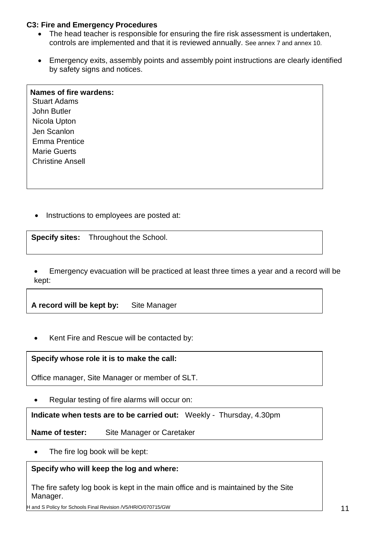#### **C3: Fire and Emergency Procedures**

- The head teacher is responsible for ensuring the fire risk assessment is undertaken, controls are implemented and that it is reviewed annually. See annex 7 and annex 10.
- Emergency exits, assembly points and assembly point instructions are clearly identified by safety signs and notices.

## **Names of fire wardens:**

 $\mathbf{P}_{\text{max}}$   $\mathbf{P}_{\text{max}}$ Stuart Adams John Butler Nicola Upton Jen Scanlon Emma Prentice Marie Guerts Christine Ansell

• Instructions to employees are posted at:

**Specify sites:** Throughout the School.

• Emergency evacuation will be practiced at least three times a year and a record will be kept:

**A record will be kept by:** Site Manager

• Kent Fire and Rescue will be contacted by:

**Specify whose role it is to make the call:**

Office manager, Site Manager or member of SLT.

• Regular testing of fire alarms will occur on:

**Indicate when tests are to be carried out:** Weekly -Thursday, 4.30pm

**Name of tester:** Site Manager or Caretaker

The fire log book will be kept:

#### **Specify who will keep the log and where:**

The fire safety log book is kept in the main office and is maintained by the Site Manager.

H and S Policy for Schools Final Revision /V5/HR/O/070715/GW 11 12 12 12 12 13 14 15 16 17 17 17 18 17 18 17 1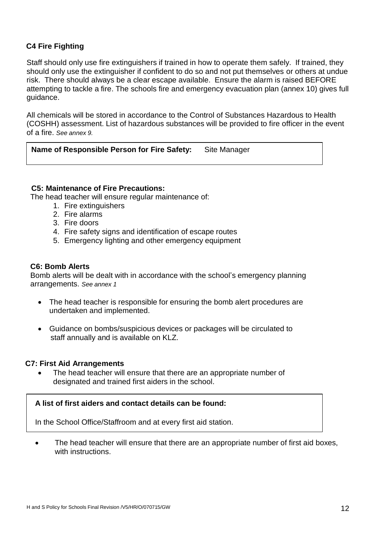#### **C4 Fire Fighting**

Staff should only use fire extinguishers if trained in how to operate them safely. If trained, they should only use the extinguisher if confident to do so and not put themselves or others at undue risk. There should always be a clear escape available. Ensure the alarm is raised BEFORE attempting to tackle a fire. The schools fire and emergency evacuation plan (annex 10) gives full guidance.

All chemicals will be stored in accordance to the Control of Substances Hazardous to Health (COSHH) assessment. List of hazardous substances will be provided to fire officer in the event of a fire. *See annex 9.*

**Name of Responsible Person for Fire Safety:** Site Manager

#### **C5: Maintenance of Fire Precautions:**

The head teacher will ensure regular maintenance of:

- 1. Fire extinguishers
- 2. Fire alarms
- 3. Fire doors
- 4. Fire safety signs and identification of escape routes
- 5. Emergency lighting and other emergency equipment

#### **C6: Bomb Alerts**

Bomb alerts will be dealt with in accordance with the school's emergency planning arrangements. *See annex 1*

- The head teacher is responsible for ensuring the bomb alert procedures are undertaken and implemented.
- Guidance on bombs/suspicious devices or packages will be circulated to staff annually and is available on KLZ.

#### **C7: First Aid Arrangements**

The head teacher will ensure that there are an appropriate number of designated and trained first aiders in the school.

#### **A list of first aiders and contact details can be found:**

In the School Office/Staffroom and at every first aid station.

The head teacher will ensure that there are an appropriate number of first aid boxes, with instructions.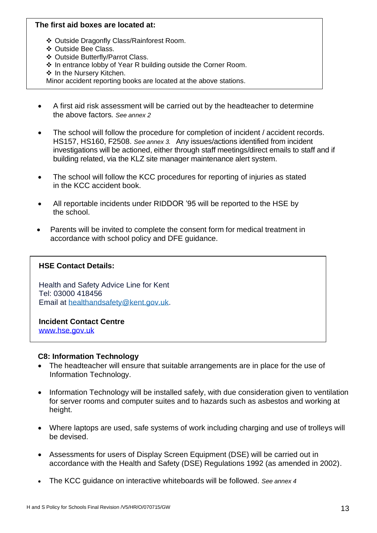#### **The first aid boxes are located at:**

- ❖ Outside Dragonfly Class/Rainforest Room.
- ❖ Outside Bee Class.
- ❖ Outside Butterfly/Parrot Class.
- ❖ In entrance lobby of Year R building outside the Corner Room.
- ❖ In the Nursery Kitchen.

Minor accident reporting books are located at the above stations.

- A first aid risk assessment will be carried out by the headteacher to determine the above factors*. See annex 2*
- The school will follow the procedure for completion of incident / accident records. HS157, HS160, F2508. *See annex 3.* Any issues/actions identified from incident investigations will be actioned, either through staff meetings/direct emails to staff and if building related, via the KLZ site manager maintenance alert system.
- The school will follow the KCC procedures for reporting of injuries as stated in the KCC accident book.
- All reportable incidents under RIDDOR '95 will be reported to the HSE by the school.
- Parents will be invited to complete the consent form for medical treatment in accordance with school policy and DFE guidance.

#### **HSE Contact Details:**

Health and Safety Advice Line for Kent Tel: 03000 418456 Email at [healthandsafety@kent.gov.uk.](mailto:healthandsafety@kent.gov.uk)

**Incident Contact Centre** [www.hse.gov.uk](http://www.hse.gov.uk/)

#### **C8: Information Technology**

- The headteacher will ensure that suitable arrangements are in place for the use of Information Technology.
- Information Technology will be installed safely, with due consideration given to ventilation for server rooms and computer suites and to hazards such as asbestos and working at height.
- Where laptops are used, safe systems of work including charging and use of trolleys will be devised.
- Assessments for users of Display Screen Equipment (DSE) will be carried out in accordance with the Health and Safety (DSE) Regulations 1992 (as amended in 2002).
- The KCC guidance on interactive whiteboards will be followed. *See annex 4*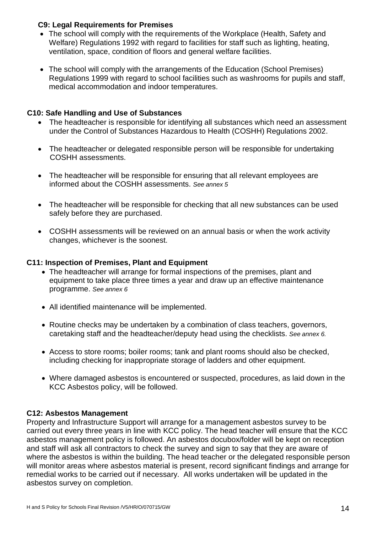#### **C9: Legal Requirements for Premises**

- The school will comply with the requirements of the Workplace (Health, Safety and Welfare) Regulations 1992 with regard to facilities for staff such as lighting, heating, ventilation, space, condition of floors and general welfare facilities.
- The school will comply with the arrangements of the Education (School Premises) Regulations 1999 with regard to school facilities such as washrooms for pupils and staff, medical accommodation and indoor temperatures.

#### **C10: Safe Handling and Use of Substances**

- The headteacher is responsible for identifying all substances which need an assessment under the Control of Substances Hazardous to Health (COSHH) Regulations 2002.
- The headteacher or delegated responsible person will be responsible for undertaking COSHH assessments.
- The headteacher will be responsible for ensuring that all relevant employees are informed about the COSHH assessments. *See annex 5*
- The headteacher will be responsible for checking that all new substances can be used safely before they are purchased.
- COSHH assessments will be reviewed on an annual basis or when the work activity changes, whichever is the soonest.

#### **C11: Inspection of Premises, Plant and Equipment**

- The headteacher will arrange for formal inspections of the premises, plant and equipment to take place three times a year and draw up an effective maintenance programme. *See annex 6*
- All identified maintenance will be implemented.
- Routine checks may be undertaken by a combination of class teachers, governors, caretaking staff and the headteacher/deputy head using the checklists. *See annex 6.*
- Access to store rooms; boiler rooms; tank and plant rooms should also be checked, including checking for inappropriate storage of ladders and other equipment.
- Where damaged asbestos is encountered or suspected, procedures, as laid down in the KCC Asbestos policy, will be followed.

#### **C12: Asbestos Management**

Property and Infrastructure Support will arrange for a management asbestos survey to be carried out every three years in line with KCC policy. The head teacher will ensure that the KCC asbestos management policy is followed. An asbestos docubox/folder will be kept on reception and staff will ask all contractors to check the survey and sign to say that they are aware of where the asbestos is within the building. The head teacher or the delegated responsible person will monitor areas where asbestos material is present, record significant findings and arrange for remedial works to be carried out if necessary. All works undertaken will be updated in the asbestos survey on completion.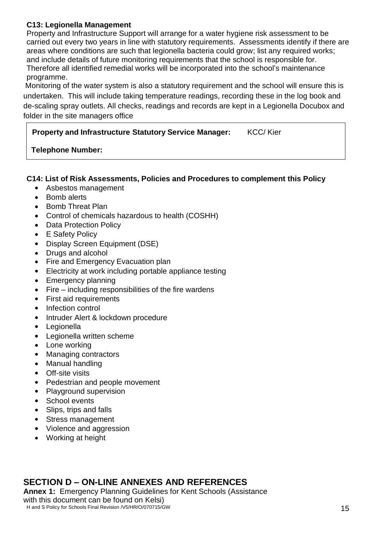#### **C13: Legionella Management**

Property and Infrastructure Support will arrange for a water hygiene risk assessment to be carried out every two years in line with statutory requirements. Assessments identify if there are areas where conditions are such that legionella bacteria could grow; list any required works; and include details of future monitoring requirements that the school is responsible for. Therefore all identified remedial works will be incorporated into the school's maintenance programme.

Monitoring of the water system is also a statutory requirement and the school will ensure this is undertaken. This will include taking temperature readings, recording these in the log book and de-scaling spray outlets. All checks, readings and records are kept in a Legionella Docubox and folder in the site managers office

**Property and Infrastructure Statutory Service Manager:** KCC/ Kier

#### **Telephone Number:**

#### **C14: List of Risk Assessments, Policies and Procedures to complement this Policy**

- Asbestos management
- Bomb alerts
- Bomb Threat Plan
- Control of chemicals hazardous to health (COSHH)
- Data Protection Policy
- E Safety Policy
- Display Screen Equipment (DSE)
- Drugs and alcohol
- Fire and Emergency Evacuation plan
- Electricity at work including portable appliance testing
- Emergency planning
- Fire including responsibilities of the fire wardens
- First aid requirements
- Infection control
- Intruder Alert & lockdown procedure
- Legionella
- Legionella written scheme
- Lone working
- Managing contractors
- Manual handling
- Off-site visits
- Pedestrian and people movement
- Playground supervision
- School events
- Slips, trips and falls
- Stress management
- Violence and aggression
- Working at height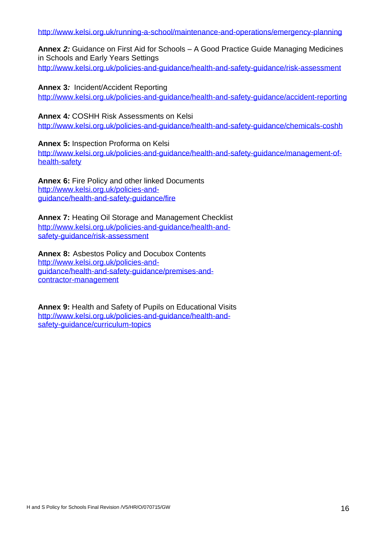<http://www.kelsi.org.uk/running-a-school/maintenance-and-operations/emergency-planning>

**Annex** *2:* Guidance on First Aid for Schools – A Good Practice Guide Managing Medicines in Schools and Early Years Settings <http://www.kelsi.org.uk/policies-and-guidance/health-and-safety-guidance/risk-assessment>

**Annex 3***:* Incident/Accident Reporting <http://www.kelsi.org.uk/policies-and-guidance/health-and-safety-guidance/accident-reporting>

**Annex 4***:* COSHH Risk Assessments on Kelsi

<http://www.kelsi.org.uk/policies-and-guidance/health-and-safety-guidance/chemicals-coshh>

**Annex 5:** Inspection Proforma on Kelsi [http://www.kelsi.org.uk/policies-and-guidance/health-and-safety-guidance/management-of](http://www.kelsi.org.uk/policies-and-guidance/health-and-safety-guidance/management-of-health-safety)[health-safety](http://www.kelsi.org.uk/policies-and-guidance/health-and-safety-guidance/management-of-health-safety)

**Annex 6:** Fire Policy and other linked Documents [http://www.kelsi.org.uk/policies-and](http://www.kelsi.org.uk/policies-and-guidance/health-and-safety-guidance/fire)[guidance/health-and-safety-guidance/fire](http://www.kelsi.org.uk/policies-and-guidance/health-and-safety-guidance/fire)

**Annex 7:** Heating Oil Storage and Management Checklist [http://www.kelsi.org.uk/policies-and-guidance/health-and](http://www.kelsi.org.uk/policies-and-guidance/health-and-safety-guidance/risk-assessment)[safety-guidance/risk-assessment](http://www.kelsi.org.uk/policies-and-guidance/health-and-safety-guidance/risk-assessment)

**Annex 8:** Asbestos Policy and Docubox Contents [http://www.kelsi.org.uk/policies-and](http://www.kelsi.org.uk/policies-and-guidance/health-and-safety-guidance/premises-and-contractor-management)[guidance/health-and-safety-guidance/premises-and](http://www.kelsi.org.uk/policies-and-guidance/health-and-safety-guidance/premises-and-contractor-management)[contractor-management](http://www.kelsi.org.uk/policies-and-guidance/health-and-safety-guidance/premises-and-contractor-management)

**Annex 9:** Health and Safety of Pupils on Educational Visits [http://www.kelsi.org.uk/policies-and-guidance/health-and](http://www.kelsi.org.uk/policies-and-guidance/health-and-safety-guidance/curriculum-topics)[safety-guidance/curriculum-topics](http://www.kelsi.org.uk/policies-and-guidance/health-and-safety-guidance/curriculum-topics)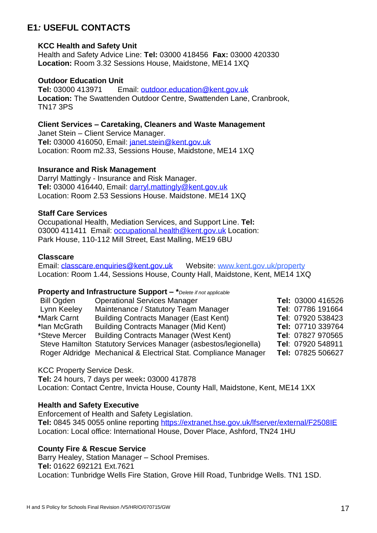### **E1***:* **USEFUL CONTACTS**

#### **KCC Health and Safety Unit**

Health and Safety Advice Line: **Tel:** 03000 418456 **Fax:** 03000 420330 **Location:** Room 3.32 Sessions House, Maidstone, ME14 1XQ

#### **Outdoor Education Unit**

**Tel:** 03000 413971 Email: [outdoor.education@kent.gov.uk](mailto:outdoor.education@kent.gov.uk) **Location:** The Swattenden Outdoor Centre, Swattenden Lane, Cranbrook, TN17 3PS

**Client Services – Caretaking, Cleaners and Waste Management** Janet Stein – Client Service Manager. **Tel:** 03000 416050, Email: [janet.stein@kent.gov.uk](mailto:janet.stein@kent.gov.uk)

Location: Room m2.33, Sessions House, Maidstone, ME14 1XQ

#### **Insurance and Risk Management**

Darryl Mattingly - Insurance and Risk Manager. **Tel:** 03000 416440, Email: [darryl.mattingly@kent.gov.uk](mailto:darryl.mattingly@kent.gov.uk) Location: Room 2.53 Sessions House. Maidstone. ME14 1XQ

#### **Staff Care Services**

Occupational Health, Mediation Services, and Support Line. **Tel:**  03000 411411 Email: [occupational.health@kent.gov.uk](mailto:occupational.health@kent.gov.uk) Location: Park House, 110-112 Mill Street, East Malling, ME19 6BU

#### **Classcare**

Email: [classcare.enquiries@kent.gov.uk](mailto:classcare.enquiries@kent.gov.uk) Website: [www.kent.gov.uk/property](http://www.kent.gov.uk/business/council_business_services/kcc_land_and_property.aspx) Location: Room 1.44, Sessions House, County Hall, Maidstone, Kent, ME14 1XQ

#### **Property and Infrastructure Support – \****Delete if not applicable*

| Bill Ogden    | <b>Operational Services Manager</b>                             | Tel: 03000 416526 |
|---------------|-----------------------------------------------------------------|-------------------|
| Lynn Keeley   | Maintenance / Statutory Team Manager                            | Tel: 07786 191664 |
| *Mark Carnt   | <b>Building Contracts Manager (East Kent)</b>                   | Tel: 07920 538423 |
| *lan McGrath  | <b>Building Contracts Manager (Mid Kent)</b>                    | Tel: 07710 339764 |
| *Steve Mercer | <b>Building Contracts Manager (West Kent)</b>                   | Tel: 07827 970565 |
|               | Steve Hamilton Statutory Services Manager (asbestos/legionella) | Tel: 07920 548911 |
|               | Roger Aldridge Mechanical & Electrical Stat. Compliance Manager | Tel: 07825 506627 |

#### KCC Property Service Desk.

**Tel:** 24 hours, 7 days per week**:** 03000 417878 Location: Contact Centre, Invicta House, County Hall, Maidstone, Kent, ME14 1XX

#### **Health and Safety Executive**

Enforcement of Health and Safety Legislation. **Tel:** 0845 345 0055 online reporting<https://extranet.hse.gov.uk/lfserver/external/F2508IE> Location: Local office: International House, Dover Place, Ashford, TN24 1HU

#### **County Fire & Rescue Service**

Barry Healey, Station Manager – School Premises. **Tel:** 01622 692121 Ext.7621 Location: Tunbridge Wells Fire Station, Grove Hill Road, Tunbridge Wells. TN1 1SD.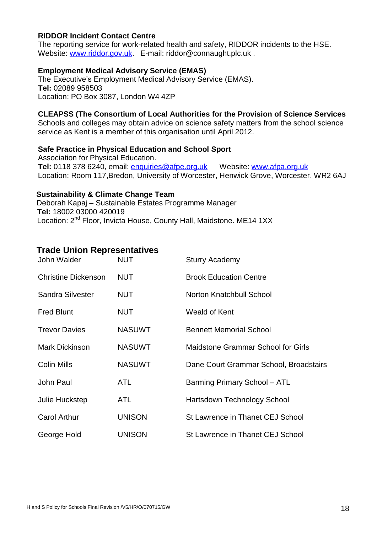#### **RIDDOR Incident Contact Centre**

The reporting service for work-related health and safety, RIDDOR incidents to the HSE. Website: [www.riddor.gov.uk.](http://www.riddor.gov.uk/) E-mail: [riddor@connaught.plc.uk](mailto:riddor@connaught.plc.uk).

#### **Employment Medical Advisory Service (EMAS)**

The Executive's Employment Medical Advisory Service (EMAS). **Tel:** 02089 958503 Location: PO Box 3087, London W4 4ZP

#### **CLEAPSS (The Consortium of Local Authorities for the Provision of Science Services**

Schools and colleges may obtain advice on science safety matters from the school science service as Kent is a member of this organisation until April 2012.

#### **Safe Practice in Physical Education and School Sport**

Association for Physical Education. **Tel:** 0118 378 6240, email: [enquiries@afpe.org.uk](mailto:enquiries@afpe.org.uk) Website: [www.afpa.org.uk](http://www.afpa.org.uk/) Location: Room 117,Bredon, University of Worcester, Henwick Grove, Worcester. WR2 6AJ

#### **Sustainability & Climate Change Team**

Deborah Kapaj – Sustainable Estates Programme Manager **Tel:** 18002 03000 420019 Location: 2<sup>nd</sup> Floor, Invicta House, County Hall, Maidstone. ME14 1XX

#### **Trade Union Representatives**

| John Walder                | NUT           | <b>Sturry Academy</b>                     |
|----------------------------|---------------|-------------------------------------------|
| <b>Christine Dickenson</b> | <b>NUT</b>    | <b>Brook Education Centre</b>             |
| Sandra Silvester           | <b>NUT</b>    | Norton Knatchbull School                  |
| <b>Fred Blunt</b>          | NUT           | Weald of Kent                             |
| <b>Trevor Davies</b>       | <b>NASUWT</b> | <b>Bennett Memorial School</b>            |
| <b>Mark Dickinson</b>      | <b>NASUWT</b> | <b>Maidstone Grammar School for Girls</b> |
| Colin Mills                | <b>NASUWT</b> | Dane Court Grammar School, Broadstairs    |
| <b>John Paul</b>           | <b>ATL</b>    | Barming Primary School - ATL              |
| Julie Huckstep             | <b>ATL</b>    | Hartsdown Technology School               |
| <b>Carol Arthur</b>        | <b>UNISON</b> | St Lawrence in Thanet CEJ School          |
| George Hold                | <b>UNISON</b> | St Lawrence in Thanet CEJ School          |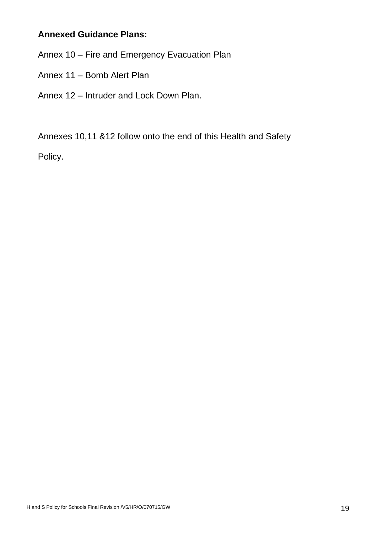## **Annexed Guidance Plans:**

Annex 10 – Fire and Emergency Evacuation Plan

- Annex 11 Bomb Alert Plan
- Annex 12 Intruder and Lock Down Plan.

Annexes 10,11 &12 follow onto the end of this Health and Safety

Policy.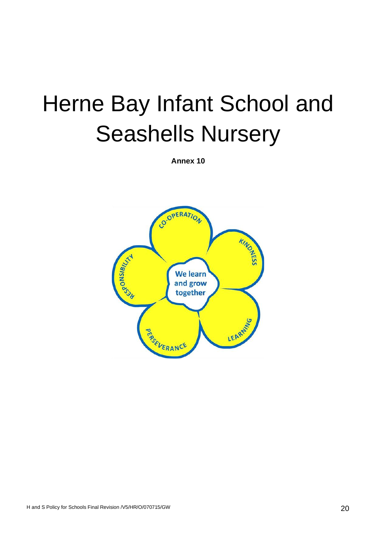# Herne Bay Infant School and Seashells Nursery

**Annex 10**

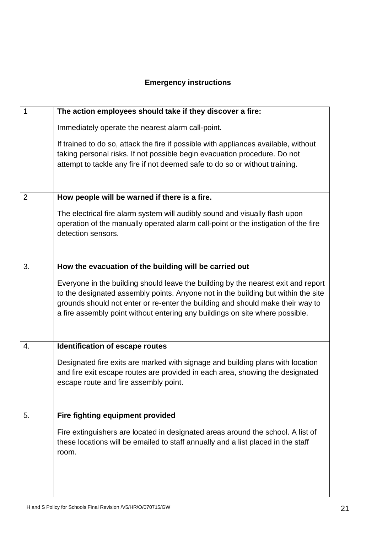## **Emergency instructions**

| 1              | The action employees should take if they discover a fire:                                                                                                                                                                                                                                                                                |
|----------------|------------------------------------------------------------------------------------------------------------------------------------------------------------------------------------------------------------------------------------------------------------------------------------------------------------------------------------------|
|                | Immediately operate the nearest alarm call-point.                                                                                                                                                                                                                                                                                        |
|                | If trained to do so, attack the fire if possible with appliances available, without<br>taking personal risks. If not possible begin evacuation procedure. Do not<br>attempt to tackle any fire if not deemed safe to do so or without training.                                                                                          |
| $\overline{2}$ | How people will be warned if there is a fire.                                                                                                                                                                                                                                                                                            |
|                | The electrical fire alarm system will audibly sound and visually flash upon<br>operation of the manually operated alarm call-point or the instigation of the fire<br>detection sensors.                                                                                                                                                  |
| 3.             | How the evacuation of the building will be carried out                                                                                                                                                                                                                                                                                   |
|                | Everyone in the building should leave the building by the nearest exit and report<br>to the designated assembly points. Anyone not in the building but within the site<br>grounds should not enter or re-enter the building and should make their way to<br>a fire assembly point without entering any buildings on site where possible. |
| 4.             | Identification of escape routes                                                                                                                                                                                                                                                                                                          |
|                | Designated fire exits are marked with signage and building plans with location<br>and fire exit escape routes are provided in each area, showing the designated<br>escape route and fire assembly point.                                                                                                                                 |
| 5.             | Fire fighting equipment provided                                                                                                                                                                                                                                                                                                         |
|                | Fire extinguishers are located in designated areas around the school. A list of<br>these locations will be emailed to staff annually and a list placed in the staff<br>room.                                                                                                                                                             |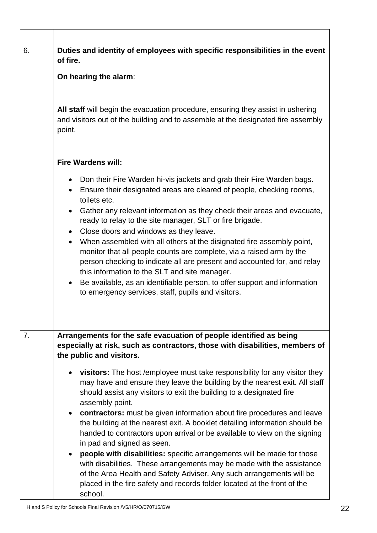| 6. | Duties and identity of employees with specific responsibilities in the event<br>of fire.                                                                                                                                                                                                                                                                                                                                                                                                                                                                                                                                                                                                                                                                                                      |
|----|-----------------------------------------------------------------------------------------------------------------------------------------------------------------------------------------------------------------------------------------------------------------------------------------------------------------------------------------------------------------------------------------------------------------------------------------------------------------------------------------------------------------------------------------------------------------------------------------------------------------------------------------------------------------------------------------------------------------------------------------------------------------------------------------------|
|    | On hearing the alarm:                                                                                                                                                                                                                                                                                                                                                                                                                                                                                                                                                                                                                                                                                                                                                                         |
|    | All staff will begin the evacuation procedure, ensuring they assist in ushering<br>and visitors out of the building and to assemble at the designated fire assembly<br>point.                                                                                                                                                                                                                                                                                                                                                                                                                                                                                                                                                                                                                 |
|    | <b>Fire Wardens will:</b>                                                                                                                                                                                                                                                                                                                                                                                                                                                                                                                                                                                                                                                                                                                                                                     |
|    | Don their Fire Warden hi-vis jackets and grab their Fire Warden bags.<br>Ensure their designated areas are cleared of people, checking rooms,<br>$\bullet$<br>toilets etc.<br>• Gather any relevant information as they check their areas and evacuate,<br>ready to relay to the site manager, SLT or fire brigade.<br>• Close doors and windows as they leave.<br>When assembled with all others at the disignated fire assembly point,<br>$\bullet$<br>monitor that all people counts are complete, via a raised arm by the<br>person checking to indicate all are present and accounted for, and relay<br>this information to the SLT and site manager.<br>Be available, as an identifiable person, to offer support and information<br>to emergency services, staff, pupils and visitors. |
| 7. | Arrangements for the safe evacuation of people identified as being<br>especially at risk, such as contractors, those with disabilities, members of<br>the public and visitors.                                                                                                                                                                                                                                                                                                                                                                                                                                                                                                                                                                                                                |
|    | <b>visitors:</b> The host /employee must take responsibility for any visitor they<br>may have and ensure they leave the building by the nearest exit. All staff<br>should assist any visitors to exit the building to a designated fire<br>assembly point.<br>contractors: must be given information about fire procedures and leave<br>$\bullet$<br>the building at the nearest exit. A booklet detailing information should be<br>handed to contractors upon arrival or be available to view on the signing<br>in pad and signed as seen.<br><b>people with disabilities:</b> specific arrangements will be made for those<br>with disabilities. These arrangements may be made with the assistance<br>of the Area Health and Safety Adviser. Any such arrangements will be                 |
|    | placed in the fire safety and records folder located at the front of the<br>school.                                                                                                                                                                                                                                                                                                                                                                                                                                                                                                                                                                                                                                                                                                           |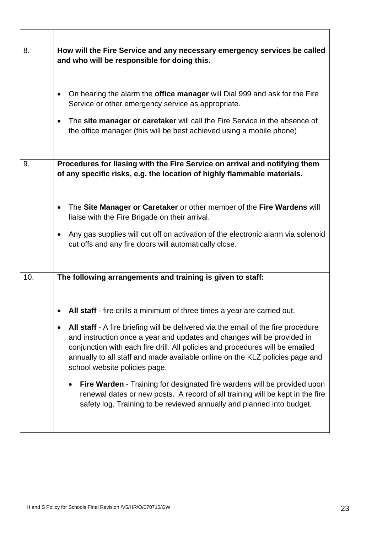| 8.  | How will the Fire Service and any necessary emergency services be called<br>and who will be responsible for doing this.                                                                                                                                                                                                                                             |
|-----|---------------------------------------------------------------------------------------------------------------------------------------------------------------------------------------------------------------------------------------------------------------------------------------------------------------------------------------------------------------------|
|     | On hearing the alarm the <b>office manager</b> will Dial 999 and ask for the Fire<br>$\bullet$<br>Service or other emergency service as appropriate.<br>The site manager or caretaker will call the Fire Service in the absence of<br>$\bullet$<br>the office manager (this will be best achieved using a mobile phone)                                             |
| 9.  | Procedures for liasing with the Fire Service on arrival and notifying them                                                                                                                                                                                                                                                                                          |
|     | of any specific risks, e.g. the location of highly flammable materials.                                                                                                                                                                                                                                                                                             |
|     | The Site Manager or Caretaker or other member of the Fire Wardens will<br>$\bullet$<br>liaise with the Fire Brigade on their arrival.                                                                                                                                                                                                                               |
|     | Any gas supplies will cut off on activation of the electronic alarm via solenoid<br>$\bullet$<br>cut offs and any fire doors will automatically close.                                                                                                                                                                                                              |
| 10. | The following arrangements and training is given to staff:                                                                                                                                                                                                                                                                                                          |
|     |                                                                                                                                                                                                                                                                                                                                                                     |
|     | All staff - fire drills a minimum of three times a year are carried out.                                                                                                                                                                                                                                                                                            |
|     | All staff - A fire briefing will be delivered via the email of the fire procedure<br>٠<br>and instruction once a year and updates and changes will be provided in<br>conjunction with each fire drill. All policies and procedures will be emailed<br>annually to all staff and made available online on the KLZ policies page and<br>school website policies page. |
|     | Fire Warden - Training for designated fire wardens will be provided upon<br>renewal dates or new posts. A record of all training will be kept in the fire<br>safety log. Training to be reviewed annually and planned into budget.                                                                                                                                  |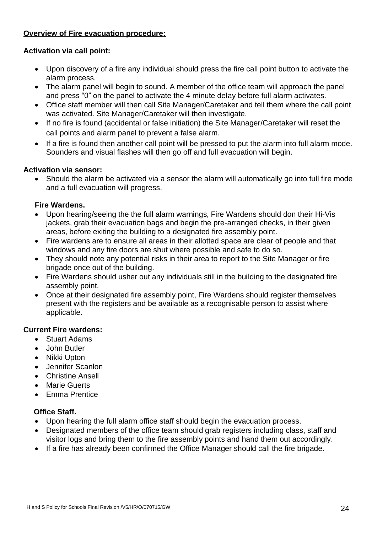#### **Overview of Fire evacuation procedure:**

#### **Activation via call point:**

- Upon discovery of a fire any individual should press the fire call point button to activate the alarm process.
- The alarm panel will begin to sound. A member of the office team will approach the panel and press "0" on the panel to activate the 4 minute delay before full alarm activates.
- Office staff member will then call Site Manager/Caretaker and tell them where the call point was activated. Site Manager/Caretaker will then investigate.
- If no fire is found (accidental or false initiation) the Site Manager/Caretaker will reset the call points and alarm panel to prevent a false alarm.
- If a fire is found then another call point will be pressed to put the alarm into full alarm mode. Sounders and visual flashes will then go off and full evacuation will begin.

#### **Activation via sensor:**

• Should the alarm be activated via a sensor the alarm will automatically go into full fire mode and a full evacuation will progress.

#### **Fire Wardens.**

- Upon hearing/seeing the the full alarm warnings, Fire Wardens should don their Hi-Vis jackets, grab their evacuation bags and begin the pre-arranged checks, in their given areas, before exiting the building to a designated fire assembly point.
- Fire wardens are to ensure all areas in their allotted space are clear of people and that windows and any fire doors are shut where possible and safe to do so.
- They should note any potential risks in their area to report to the Site Manager or fire brigade once out of the building.
- Fire Wardens should usher out any individuals still in the building to the designated fire assembly point.
- Once at their designated fire assembly point, Fire Wardens should register themselves present with the registers and be available as a recognisable person to assist where applicable.

#### **Current Fire wardens:**

- Stuart Adams
- John Butler
- Nikki Upton
- Jennifer Scanlon
- Christine Ansell
- Marie Guerts
- Emma Prentice

#### **Office Staff.**

- Upon hearing the full alarm office staff should begin the evacuation process.
- Designated members of the office team should grab registers including class, staff and visitor logs and bring them to the fire assembly points and hand them out accordingly.
- If a fire has already been confirmed the Office Manager should call the fire brigade.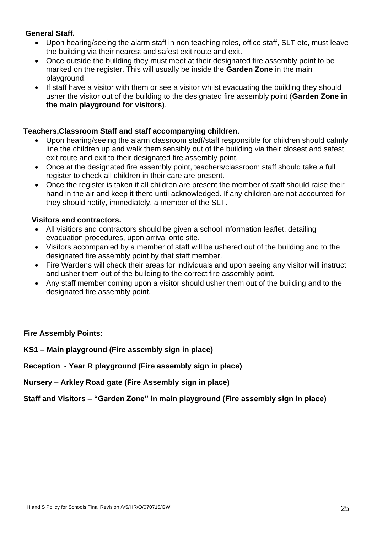#### **General Staff.**

- Upon hearing/seeing the alarm staff in non teaching roles, office staff, SLT etc, must leave the building via their nearest and safest exit route and exit.
- Once outside the building they must meet at their designated fire assembly point to be marked on the register. This will usually be inside the **Garden Zone** in the main playground.
- If staff have a visitor with them or see a visitor whilst evacuating the building they should usher the visitor out of the building to the designated fire assembly point (**Garden Zone in the main playground for visitors**).

#### **Teachers,Classroom Staff and staff accompanying children.**

- Upon hearing/seeing the alarm classroom staff/staff responsible for children should calmly line the children up and walk them sensibly out of the building via their closest and safest exit route and exit to their designated fire assembly point.
- Once at the designated fire assembly point, teachers/classroom staff should take a full register to check all children in their care are present.
- Once the register is taken if all children are present the member of staff should raise their hand in the air and keep it there until acknowledged. If any children are not accounted for they should notify, immediately, a member of the SLT.

#### **Visitors and contractors.**

- All visitiors and contractors should be given a school information leaflet, detailing evacuation procedures, upon arrival onto site.
- Visitors accompanied by a member of staff will be ushered out of the building and to the designated fire assembly point by that staff member.
- Fire Wardens will check their areas for individuals and upon seeing any visitor will instruct and usher them out of the building to the correct fire assembly point.
- Any staff member coming upon a visitor should usher them out of the building and to the designated fire assembly point.

#### **Fire Assembly Points:**

**KS1 – Main playground (Fire assembly sign in place)**

**Reception - Year R playground (Fire assembly sign in place)**

**Nursery – Arkley Road gate (Fire Assembly sign in place)** 

**Staff and Visitors – "Garden Zone" in main playground (Fire assembly sign in place)**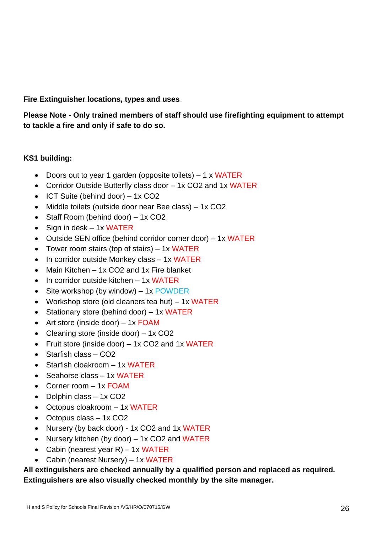#### **Fire Extinguisher locations, types and uses**

**Please Note - Only trained members of staff should use firefighting equipment to attempt to tackle a fire and only if safe to do so.** 

#### **KS1 building:**

- Doors out to year 1 garden (opposite toilets) 1 x WATER
- Corridor Outside Butterfly class door 1x CO2 and 1x WATER
- ICT Suite (behind door) 1x CO2
- Middle toilets (outside door near Bee class) 1x CO2
- Staff Room (behind door) 1x CO2
- Sign in desk 1x WATER
- Outside SEN office (behind corridor corner door) 1x WATER
- Tower room stairs (top of stairs) 1x WATER
- In corridor outside Monkey class 1x WATER
- Main Kitchen 1x CO2 and 1x Fire blanket
- In corridor outside kitchen 1x WATER
- Site workshop (by window)  $-1x$  POWDER
- Workshop store (old cleaners tea hut) 1x WATER
- Stationary store (behind door) 1x WATER
- Art store (inside door)  $-1x$  FOAM
- Cleaning store (inside door) 1x CO2
- Fruit store (inside door) 1x CO2 and 1x WATER
- Starfish class CO2
- Starfish cloakroom 1x WATER
- Seahorse class 1x WATER
- Corner room 1x FOAM
- Dolphin class 1x CO2
- Octopus cloakroom 1x WATER
- Octopus class 1x CO<sub>2</sub>
- Nursery (by back door) 1x CO2 and 1x WATER
- Nursery kitchen (by door) 1x CO2 and WATER
- Cabin (nearest year R) 1x WATER
- Cabin (nearest Nursery) 1x WATER

**All extinguishers are checked annually by a qualified person and replaced as required. Extinguishers are also visually checked monthly by the site manager.**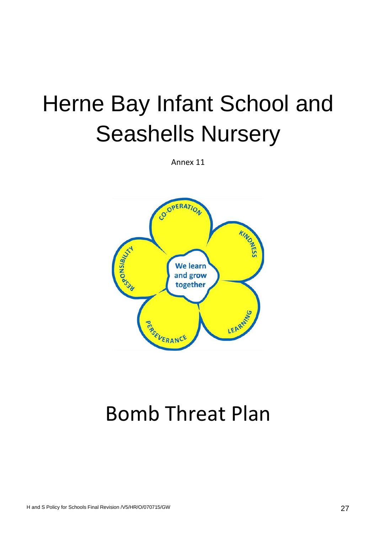# Herne Bay Infant School and Seashells Nursery

Annex 11



## Bomb Threat Plan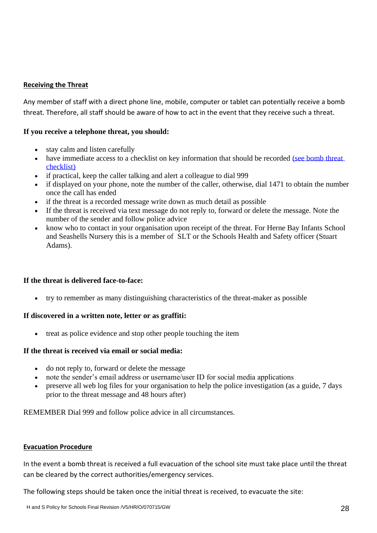#### **Receiving the Threat**

Any member of staff with a direct phone line, mobile, computer or tablet can potentially receive a bomb threat. Therefore, all staff should be aware of how to act in the event that they receive such a threat.

#### **If you receive a telephone threat, you should:**

- stay calm and listen carefully
- have immediate access to a checklist on key information that should be recorded (see bomb threat [checklist\)](https://www.gov.uk/government/uploads/system/uploads/attachment_data/file/552301/Bomb_Threats_Form_5474.pdf)
- if practical, keep the caller talking and alert a colleague to dial 999
- if displayed on your phone, note the number of the caller, otherwise, dial 1471 to obtain the number once the call has ended
- if the threat is a recorded message write down as much detail as possible
- If the threat is received via text message do not reply to, forward or delete the message. Note the number of the sender and follow police advice
- know who to contact in your organisation upon receipt of the threat. For Herne Bay Infants School and Seashells Nursery this is a member of SLT or the Schools Health and Safety officer (Stuart Adams).

#### **If the threat is delivered face-to-face:**

• try to remember as many distinguishing characteristics of the threat-maker as possible

#### **If discovered in a written note, letter or as graffiti:**

• treat as police evidence and stop other people touching the item

#### **If the threat is received via email or social media:**

- do not reply to, forward or delete the message
- note the sender's email address or username/user ID for social media applications
- preserve all web log files for your organisation to help the police investigation (as a guide, 7 days prior to the threat message and 48 hours after)

REMEMBER Dial 999 and follow police advice in all circumstances.

#### **Evacuation Procedure**

In the event a bomb threat is received a full evacuation of the school site must take place until the threat can be cleared by the correct authorities/emergency services.

The following steps should be taken once the initial threat is received, to evacuate the site: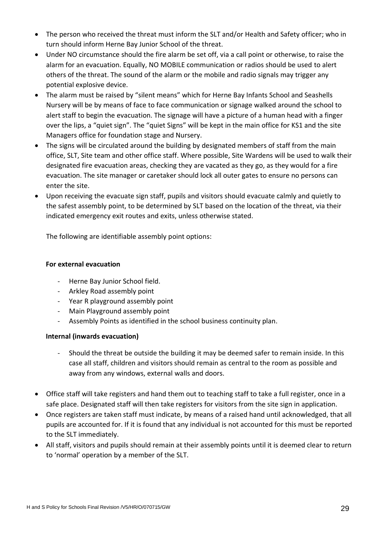- The person who received the threat must inform the SLT and/or Health and Safety officer; who in turn should inform Herne Bay Junior School of the threat.
- Under NO circumstance should the fire alarm be set off, via a call point or otherwise, to raise the alarm for an evacuation. Equally, NO MOBILE communication or radios should be used to alert others of the threat. The sound of the alarm or the mobile and radio signals may trigger any potential explosive device.
- The alarm must be raised by "silent means" which for Herne Bay Infants School and Seashells Nursery will be by means of face to face communication or signage walked around the school to alert staff to begin the evacuation. The signage will have a picture of a human head with a finger over the lips, a "quiet sign". The "quiet Signs" will be kept in the main office for KS1 and the site Managers office for foundation stage and Nursery.
- The signs will be circulated around the building by designated members of staff from the main office, SLT, Site team and other office staff. Where possible, Site Wardens will be used to walk their designated fire evacuation areas, checking they are vacated as they go, as they would for a fire evacuation. The site manager or caretaker should lock all outer gates to ensure no persons can enter the site.
- Upon receiving the evacuate sign staff, pupils and visitors should evacuate calmly and quietly to the safest assembly point, to be determined by SLT based on the location of the threat, via their indicated emergency exit routes and exits, unless otherwise stated.

The following are identifiable assembly point options:

#### **For external evacuation**

- Herne Bay Junior School field.
- Arkley Road assembly point
- Year R playground assembly point
- Main Playground assembly point
- Assembly Points as identified in the school business continuity plan.

#### **Internal (inwards evacuation)**

- Should the threat be outside the building it may be deemed safer to remain inside. In this case all staff, children and visitors should remain as central to the room as possible and away from any windows, external walls and doors.
- Office staff will take registers and hand them out to teaching staff to take a full register, once in a safe place. Designated staff will then take registers for visitors from the site sign in application.
- Once registers are taken staff must indicate, by means of a raised hand until acknowledged, that all pupils are accounted for. If it is found that any individual is not accounted for this must be reported to the SLT immediately.
- All staff, visitors and pupils should remain at their assembly points until it is deemed clear to return to 'normal' operation by a member of the SLT.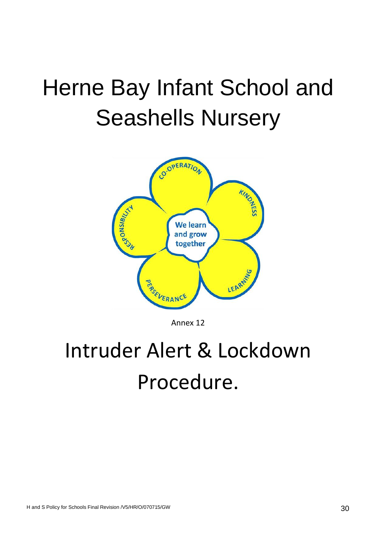# Herne Bay Infant School and Seashells Nursery



Annex 12

## Intruder Alert & Lockdown Procedure.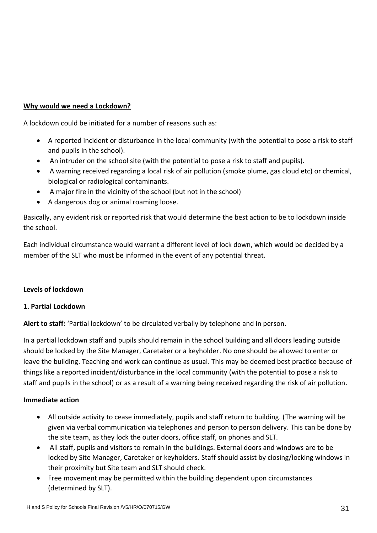#### **Why would we need a Lockdown?**

A lockdown could be initiated for a number of reasons such as:

- A reported incident or disturbance in the local community (with the potential to pose a risk to staff and pupils in the school).
- An intruder on the school site (with the potential to pose a risk to staff and pupils).
- A warning received regarding a local risk of air pollution (smoke plume, gas cloud etc) or chemical, biological or radiological contaminants.
- A major fire in the vicinity of the school (but not in the school)
- A dangerous dog or animal roaming loose.

Basically, any evident risk or reported risk that would determine the best action to be to lockdown inside the school.

Each individual circumstance would warrant a different level of lock down, which would be decided by a member of the SLT who must be informed in the event of any potential threat.

#### **Levels of lockdown**

#### **1. Partial Lockdown**

**Alert to staff:** 'Partial lockdown' to be circulated verbally by telephone and in person.

In a partial lockdown staff and pupils should remain in the school building and all doors leading outside should be locked by the Site Manager, Caretaker or a keyholder. No one should be allowed to enter or leave the building. Teaching and work can continue as usual. This may be deemed best practice because of things like a reported incident/disturbance in the local community (with the potential to pose a risk to staff and pupils in the school) or as a result of a warning being received regarding the risk of air pollution.

#### **Immediate action**

- All outside activity to cease immediately, pupils and staff return to building. (The warning will be given via verbal communication via telephones and person to person delivery. This can be done by the site team, as they lock the outer doors, office staff, on phones and SLT.
- All staff, pupils and visitors to remain in the buildings. External doors and windows are to be locked by Site Manager, Caretaker or keyholders. Staff should assist by closing/locking windows in their proximity but Site team and SLT should check.
- Free movement may be permitted within the building dependent upon circumstances (determined by SLT).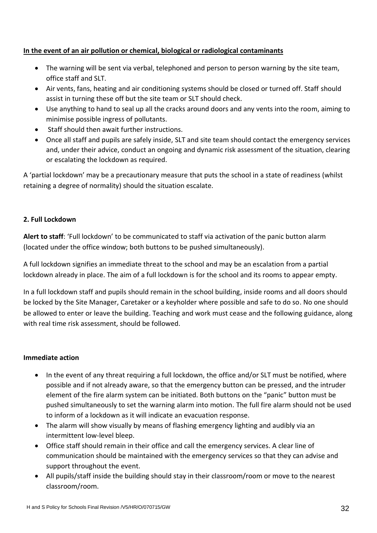#### **In the event of an air pollution or chemical, biological or radiological contaminants**

- The warning will be sent via verbal, telephoned and person to person warning by the site team, office staff and SLT.
- Air vents, fans, heating and air conditioning systems should be closed or turned off. Staff should assist in turning these off but the site team or SLT should check.
- Use anything to hand to seal up all the cracks around doors and any vents into the room, aiming to minimise possible ingress of pollutants.
- Staff should then await further instructions.
- Once all staff and pupils are safely inside, SLT and site team should contact the emergency services and, under their advice, conduct an ongoing and dynamic risk assessment of the situation, clearing or escalating the lockdown as required.

A 'partial lockdown' may be a precautionary measure that puts the school in a state of readiness (whilst retaining a degree of normality) should the situation escalate.

#### **2. Full Lockdown**

**Alert to staff**: 'Full lockdown' to be communicated to staff via activation of the panic button alarm (located under the office window; both buttons to be pushed simultaneously).

A full lockdown signifies an immediate threat to the school and may be an escalation from a partial lockdown already in place. The aim of a full lockdown is for the school and its rooms to appear empty.

In a full lockdown staff and pupils should remain in the school building, inside rooms and all doors should be locked by the Site Manager, Caretaker or a keyholder where possible and safe to do so. No one should be allowed to enter or leave the building. Teaching and work must cease and the following guidance, along with real time risk assessment, should be followed.

#### **Immediate action**

- In the event of any threat requiring a full lockdown, the office and/or SLT must be notified, where possible and if not already aware, so that the emergency button can be pressed, and the intruder element of the fire alarm system can be initiated. Both buttons on the "panic" button must be pushed simultaneously to set the warning alarm into motion. The full fire alarm should not be used to inform of a lockdown as it will indicate an evacuation response.
- The alarm will show visually by means of flashing emergency lighting and audibly via an intermittent low-level bleep.
- Office staff should remain in their office and call the emergency services. A clear line of communication should be maintained with the emergency services so that they can advise and support throughout the event.
- All pupils/staff inside the building should stay in their classroom/room or move to the nearest classroom/room.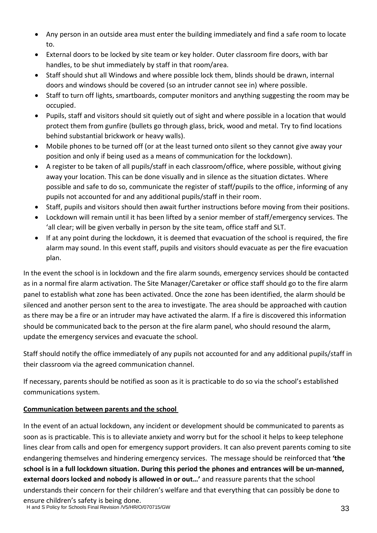- Any person in an outside area must enter the building immediately and find a safe room to locate to.
- External doors to be locked by site team or key holder. Outer classroom fire doors, with bar handles, to be shut immediately by staff in that room/area.
- Staff should shut all Windows and where possible lock them, blinds should be drawn, internal doors and windows should be covered (so an intruder cannot see in) where possible.
- Staff to turn off lights, smartboards, computer monitors and anything suggesting the room may be occupied.
- Pupils, staff and visitors should sit quietly out of sight and where possible in a location that would protect them from gunfire (bullets go through glass, brick, wood and metal. Try to find locations behind substantial brickwork or heavy walls).
- Mobile phones to be turned off (or at the least turned onto silent so they cannot give away your position and only if being used as a means of communication for the lockdown).
- A register to be taken of all pupils/staff in each classroom/office, where possible, without giving away your location. This can be done visually and in silence as the situation dictates. Where possible and safe to do so, communicate the register of staff/pupils to the office, informing of any pupils not accounted for and any additional pupils/staff in their room.
- Staff, pupils and visitors should then await further instructions before moving from their positions.
- Lockdown will remain until it has been lifted by a senior member of staff/emergency services. The 'all clear; will be given verbally in person by the site team, office staff and SLT.
- If at any point during the lockdown, it is deemed that evacuation of the school is required, the fire alarm may sound. In this event staff, pupils and visitors should evacuate as per the fire evacuation plan.

In the event the school is in lockdown and the fire alarm sounds, emergency services should be contacted as in a normal fire alarm activation. The Site Manager/Caretaker or office staff should go to the fire alarm panel to establish what zone has been activated. Once the zone has been identified, the alarm should be silenced and another person sent to the area to investigate. The area should be approached with caution as there may be a fire or an intruder may have activated the alarm. If a fire is discovered this information should be communicated back to the person at the fire alarm panel, who should resound the alarm, update the emergency services and evacuate the school.

Staff should notify the office immediately of any pupils not accounted for and any additional pupils/staff in their classroom via the agreed communication channel.

If necessary, parents should be notified as soon as it is practicable to do so via the school's established communications system.

#### **Communication between parents and the school**

In the event of an actual lockdown, any incident or development should be communicated to parents as soon as is practicable. This is to alleviate anxiety and worry but for the school it helps to keep telephone lines clear from calls and open for emergency support providers. It can also prevent parents coming to site endangering themselves and hindering emergency services. The message should be reinforced that **'the school is in a full lockdown situation. During this period the phones and entrances will be un-manned, external doors locked and nobody is allowed in or out…'** and reassure parents that the school understands their concern for their children's welfare and that everything that can possibly be done to